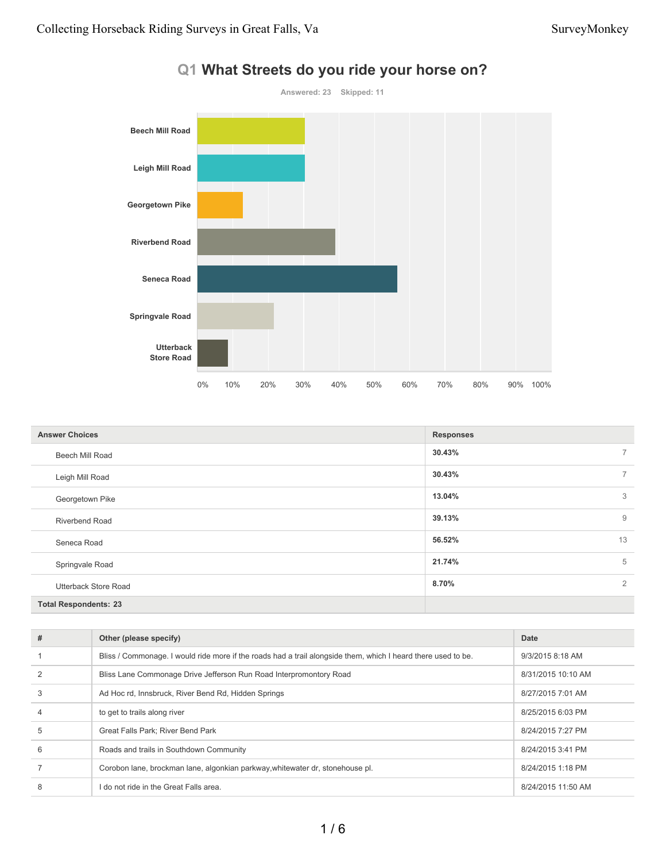

| <b>Answer Choices</b>        | <b>Responses</b> |                |
|------------------------------|------------------|----------------|
| Beech Mill Road              | 30.43%           | $7^{\circ}$    |
| Leigh Mill Road              | 30.43%           | $7^{\circ}$    |
| Georgetown Pike              | 13.04%           | 3              |
| <b>Riverbend Road</b>        | 39.13%           | 9              |
| Seneca Road                  | 56.52%           | 13             |
| Springvale Road              | 21.74%           | 5              |
| <b>Utterback Store Road</b>  | 8.70%            | $\overline{2}$ |
| <b>Total Respondents: 23</b> |                  |                |

| # | Other (please specify)                                                                                        | Date               |
|---|---------------------------------------------------------------------------------------------------------------|--------------------|
|   | Bliss / Commonage. I would ride more if the roads had a trail alongside them, which I heard there used to be. | 9/3/2015 8:18 AM   |
|   | Bliss Lane Commonage Drive Jefferson Run Road Interpromontory Road                                            | 8/31/2015 10:10 AM |
| 3 | Ad Hoc rd, Innsbruck, River Bend Rd, Hidden Springs                                                           | 8/27/2015 7:01 AM  |
| 4 | to get to trails along river                                                                                  | 8/25/2015 6:03 PM  |
| 5 | <b>Great Falls Park: River Bend Park</b>                                                                      | 8/24/2015 7:27 PM  |
| 6 | Roads and trails in Southdown Community                                                                       | 8/24/2015 3:41 PM  |
|   | Corobon lane, brockman lane, algonkian parkway, whitewater dr, stonehouse pl.                                 | 8/24/2015 1:18 PM  |
| 8 | l do not ride in the Great Falls area.                                                                        | 8/24/2015 11:50 AM |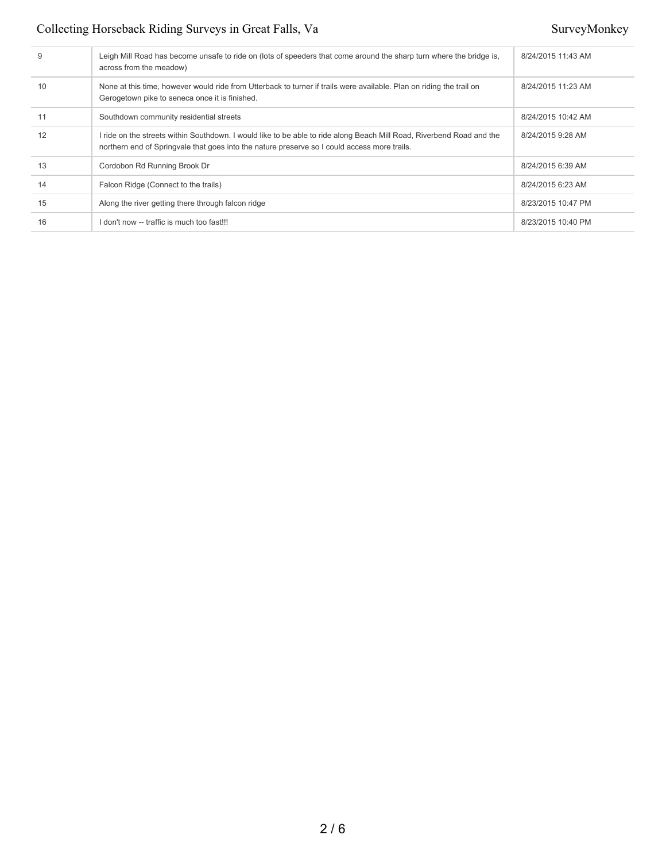## Collecting Horseback Riding Surveys in Great Falls, Va SurveyMonkey

| 9  | Leigh Mill Road has become unsafe to ride on (lots of speeders that come around the sharp turn where the bridge is,<br>across from the meadow)                                                                        | 8/24/2015 11:43 AM |
|----|-----------------------------------------------------------------------------------------------------------------------------------------------------------------------------------------------------------------------|--------------------|
| 10 | None at this time, however would ride from Utterback to turner if trails were available. Plan on riding the trail on<br>Gerogetown pike to seneca once it is finished.                                                | 8/24/2015 11:23 AM |
| 11 | Southdown community residential streets                                                                                                                                                                               | 8/24/2015 10:42 AM |
| 12 | I ride on the streets within Southdown. I would like to be able to ride along Beach Mill Road, Riverbend Road and the<br>northern end of Springvale that goes into the nature preserve so I could access more trails. | 8/24/2015 9:28 AM  |
| 13 | Cordobon Rd Running Brook Dr                                                                                                                                                                                          | 8/24/2015 6:39 AM  |
| 14 | Falcon Ridge (Connect to the trails)                                                                                                                                                                                  | 8/24/2015 6:23 AM  |
| 15 | Along the river getting there through falcon ridge                                                                                                                                                                    | 8/23/2015 10:47 PM |
| 16 | I don't now -- traffic is much too fast!!!                                                                                                                                                                            | 8/23/2015 10:40 PM |
|    |                                                                                                                                                                                                                       |                    |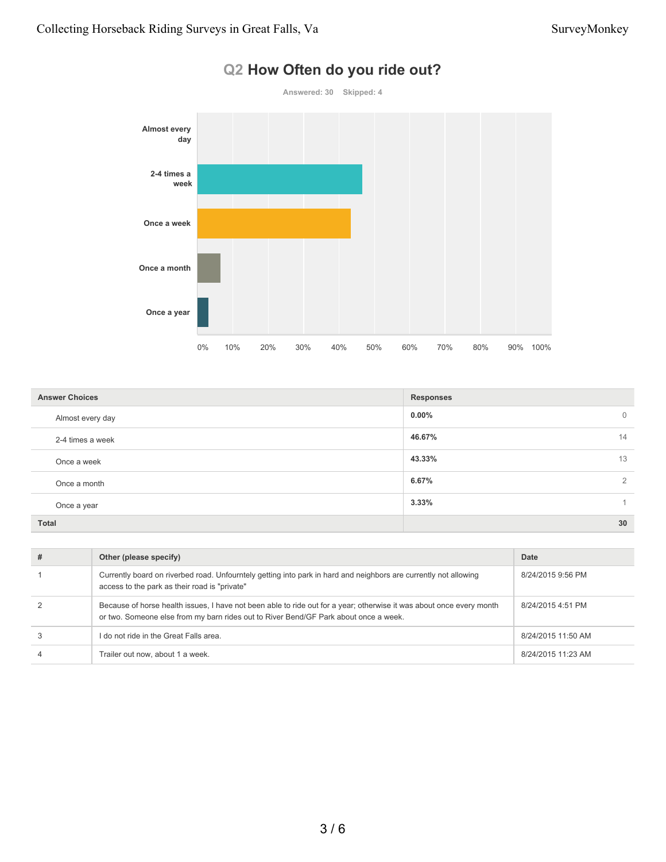

# **Q2 How Often do you ride out?**

| <b>Answer Choices</b> | <b>Responses</b>        |
|-----------------------|-------------------------|
| Almost every day      | $0.00\%$<br>$\mathbf 0$ |
| 2-4 times a week      | 46.67%<br>14            |
| Once a week           | 43.33%<br>13            |
| Once a month          | 6.67%<br>$\overline{2}$ |
| Once a year           | 3.33%                   |
| <b>Total</b>          | 30                      |

| Other (please specify)                                                                                                                                                                                       | Date               |
|--------------------------------------------------------------------------------------------------------------------------------------------------------------------------------------------------------------|--------------------|
| Currently board on riverbed road. Unfourntely getting into park in hard and neighbors are currently not allowing<br>access to the park as their road is "private"                                            | 8/24/2015 9:56 PM  |
| Because of horse health issues, I have not been able to ride out for a year; otherwise it was about once every month<br>or two. Someone else from my barn rides out to River Bend/GF Park about once a week. | 8/24/2015 4:51 PM  |
| I do not ride in the Great Falls area.                                                                                                                                                                       | 8/24/2015 11:50 AM |
| Trailer out now, about 1 a week.                                                                                                                                                                             | 8/24/2015 11:23 AM |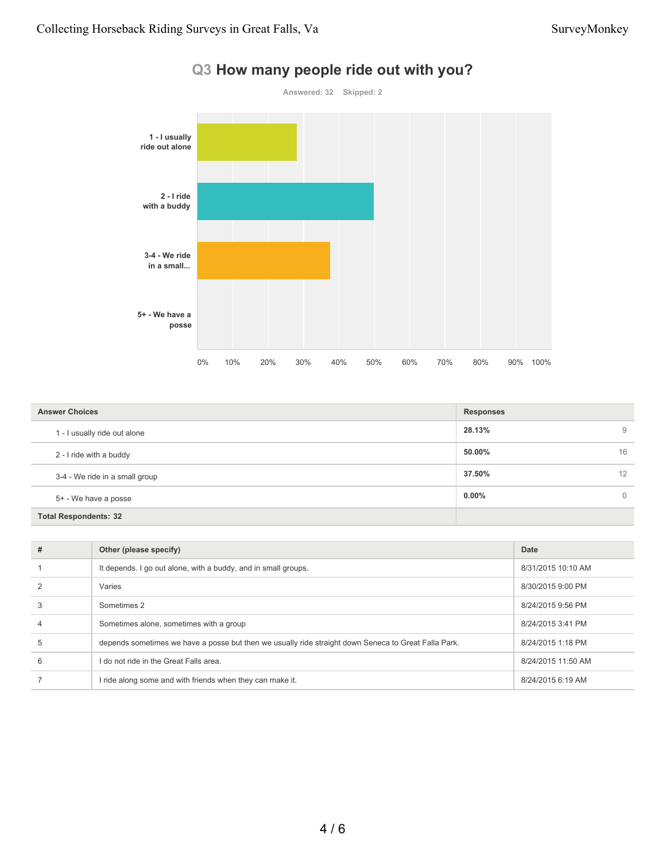

|  | Q3 How many people ride out with you? |  |  |
|--|---------------------------------------|--|--|
|--|---------------------------------------|--|--|

| <b>Answer Choices</b>          | <b>Responses</b> |
|--------------------------------|------------------|
| 1 - I usually ride out alone   | 28.13%<br>9      |
| 2 - I ride with a buddy        | 50.00%<br>16     |
| 3-4 - We ride in a small group | 37.50%<br>12     |
| 5+ - We have a posse           | $0.00\%$<br>0    |
| <b>Total Respondents: 32</b>   |                  |

| # | Other (please specify)                                                                               | Date               |
|---|------------------------------------------------------------------------------------------------------|--------------------|
|   | It depends. I go out alone, with a buddy, and in small groups.                                       | 8/31/2015 10:10 AM |
|   | Varies                                                                                               | 8/30/2015 9:00 PM  |
|   | Sometimes 2                                                                                          | 8/24/2015 9:56 PM  |
|   | Sometimes alone, sometimes with a group                                                              | 8/24/2015 3:41 PM  |
|   | depends sometimes we have a posse but then we usually ride straight down Seneca to Great Falla Park. | 8/24/2015 1:18 PM  |
| 6 | I do not ride in the Great Falls area.                                                               | 8/24/2015 11:50 AM |
|   | I ride along some and with friends when they can make it.                                            | 8/24/2015 6:19 AM  |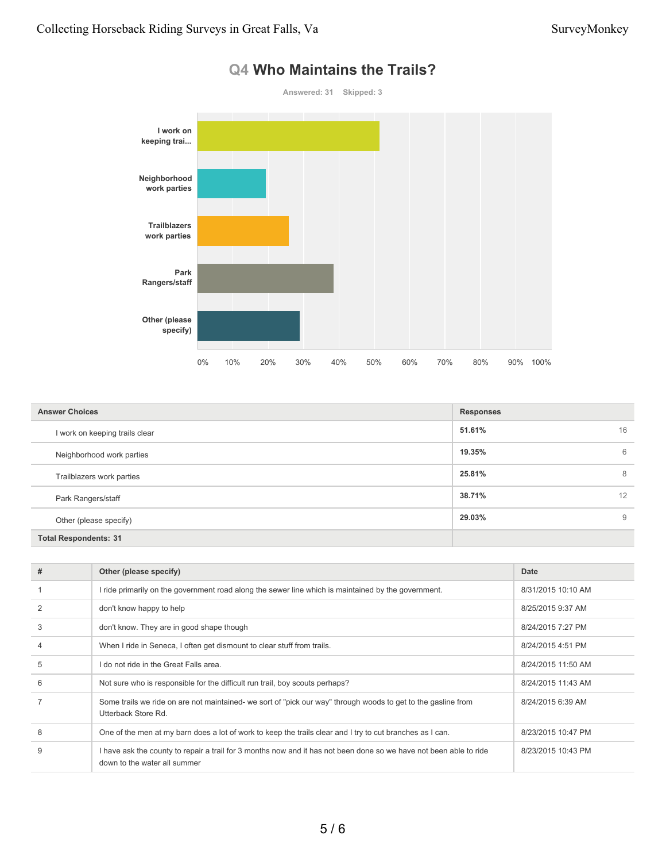

### **Q4 Who Maintains the Trails?**

| <b>Answer Choices</b>          | <b>Responses</b> |
|--------------------------------|------------------|
| I work on keeping trails clear | 51.61%<br>16     |
| Neighborhood work parties      | 19.35%<br>6      |
| Trailblazers work parties      | 25.81%<br>8      |
| Park Rangers/staff             | 12<br>38.71%     |
| Other (please specify)         | 29.03%<br>9      |
| <b>Total Respondents: 31</b>   |                  |

| # | Other (please specify)                                                                                                                             | Date               |
|---|----------------------------------------------------------------------------------------------------------------------------------------------------|--------------------|
|   | I ride primarily on the government road along the sewer line which is maintained by the government.                                                | 8/31/2015 10:10 AM |
|   | don't know happy to help                                                                                                                           | 8/25/2015 9:37 AM  |
| 3 | don't know. They are in good shape though                                                                                                          | 8/24/2015 7:27 PM  |
|   | When I ride in Seneca, I often get dismount to clear stuff from trails.                                                                            | 8/24/2015 4:51 PM  |
| 5 | I do not ride in the Great Falls area.                                                                                                             | 8/24/2015 11:50 AM |
| 6 | Not sure who is responsible for the difficult run trail, boy scouts perhaps?                                                                       | 8/24/2015 11:43 AM |
|   | Some trails we ride on are not maintained- we sort of "pick our way" through woods to get to the gasline from<br>Utterback Store Rd.               | 8/24/2015 6:39 AM  |
| 8 | One of the men at my barn does a lot of work to keep the trails clear and I try to cut branches as I can.                                          | 8/23/2015 10:47 PM |
| 9 | I have ask the county to repair a trail for 3 months now and it has not been done so we have not been able to ride<br>down to the water all summer | 8/23/2015 10:43 PM |